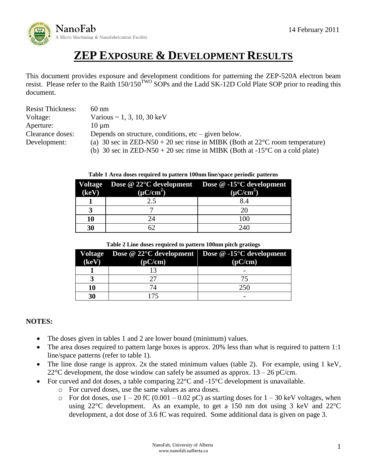

# **ZEP EXPOSURE & DEVELOPMENT RESULTS**

This document provides exposure and development conditions for patterning the ZEP-520A electron beam resist. Please refer to the Raith  $150/150^{TWO}$  SOPs and the Ladd SK-12D Cold Plate SOP prior to reading this document.

| <b>Resist Thickness:</b> | $60 \text{ nm}$                                                                           |  |  |
|--------------------------|-------------------------------------------------------------------------------------------|--|--|
| Voltage:                 | Various $\sim 1, 3, 10, 30 \text{ keV}$                                                   |  |  |
| Aperture:                | $10 \mu m$                                                                                |  |  |
| Clearance doses:         | Depends on structure, conditions, $etc - given$ below.                                    |  |  |
| Development:             | (a) 30 sec in ZED-N50 + 20 sec rinse in MIBK (Both at $22^{\circ}$ C room temperature)    |  |  |
|                          | (b) 30 sec in ZED-N50 + 20 sec rinse in MIBK (Both at -15 <sup>o</sup> C on a cold plate) |  |  |

#### **Table 1 Area doses required to pattern 100nm line/space periodic patterns**

| (keV) | Voltage Dose @ 22°C development Dose @ -15°C development<br>$(\mu C/cm^2)$ | $(\mu C/cm^2)$ |
|-------|----------------------------------------------------------------------------|----------------|
|       | 2.5                                                                        |                |
|       |                                                                            |                |
| 10    |                                                                            | 100            |
| 30    |                                                                            | 240            |

**Table 2 Line doses required to pattern 100nm pitch gratings**

| (keV) | (pC/cm) | Voltage Dose @ 22 $\mathrm{^{\circ}C}$ development Dose @ -15 $\mathrm{^{\circ}C}$ development<br>(pC/cm) |
|-------|---------|-----------------------------------------------------------------------------------------------------------|
|       |         |                                                                                                           |
|       |         |                                                                                                           |
| 10    |         | 250                                                                                                       |
| 30    |         |                                                                                                           |

#### **NOTES:**

- The doses given in tables 1 and 2 are lower bound (minimum) values.
- The area doses required to pattern large boxes is approx. 20% less than what is required to pattern 1:1 line/space patterns (refer to table 1).
- The line dose range is approx. 2x the stated minimum values (table 2). For example, using 1 keV, 22 $\degree$ C development, the dose window can safely be assumed as approx. 13 – 26 pC/cm.
- For curved and dot doses, a table comparing  $22^{\circ}$ C and  $-15^{\circ}$ C development is unavailable.
	- o For curved doses, use the same values as area doses.
	- $\circ$  For dot doses, use  $1 20$  fC (0.001 0.02 pC) as starting doses for  $1 30$  keV voltages, when using 22°C development. As an example, to get a 150 nm dot using 3 keV and 22°C development, a dot dose of 3.6 fC was required. Some additional data is given on page 3.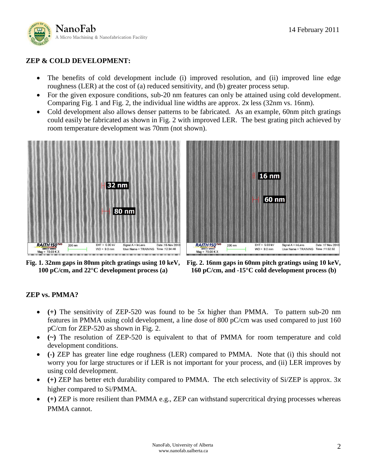

### **ZEP & COLD DEVELOPMENT:**

- The benefits of cold development include (i) improved resolution, and (ii) improved line edge roughness (LER) at the cost of (a) reduced sensitivity, and (b) greater process setup.
- For the given exposure conditions, sub-20 nm features can only be attained using cold development. Comparing Fig. 1 and Fig. 2, the individual line widths are approx. 2x less (32nm vs. 16nm).
- Cold development also allows denser patterns to be fabricated. As an example, 60nm pitch gratings could easily be fabricated as shown in Fig. 2 with improved LER. The best grating pitch achieved by room temperature development was 70nm (not shown).



**Fig. 1. 32nm gaps in 80nm pitch gratings using 10 keV, 100 pC/cm, and 22°C development process (a)**



**Fig. 2. 16nm gaps in 60nm pitch gratings using 10 keV, 160 pC/cm, and -15°C cold development process (b)**

## **ZEP vs. PMMA?**

- **(+)** The sensitivity of ZEP-520 was found to be 5x higher than PMMA. To pattern sub-20 nm features in PMMA using cold development, a line dose of 800 pC/cm was used compared to just 160 pC/cm for ZEP-520 as shown in Fig. 2.
- **(~)** The resolution of ZEP-520 is equivalent to that of PMMA for room temperature and cold development conditions.
- **(-)** ZEP has greater line edge roughness (LER) compared to PMMA. Note that (i) this should not worry you for large structures or if LER is not important for your process, and (ii) LER improves by using cold development.
- **(+)** ZEP has better etch durability compared to PMMA. The etch selectivity of Si/ZEP is approx. 3x higher compared to Si/PMMA.
- **(+)** ZEP is more resilient than PMMA e.g., ZEP can withstand supercritical drying processes whereas PMMA cannot.